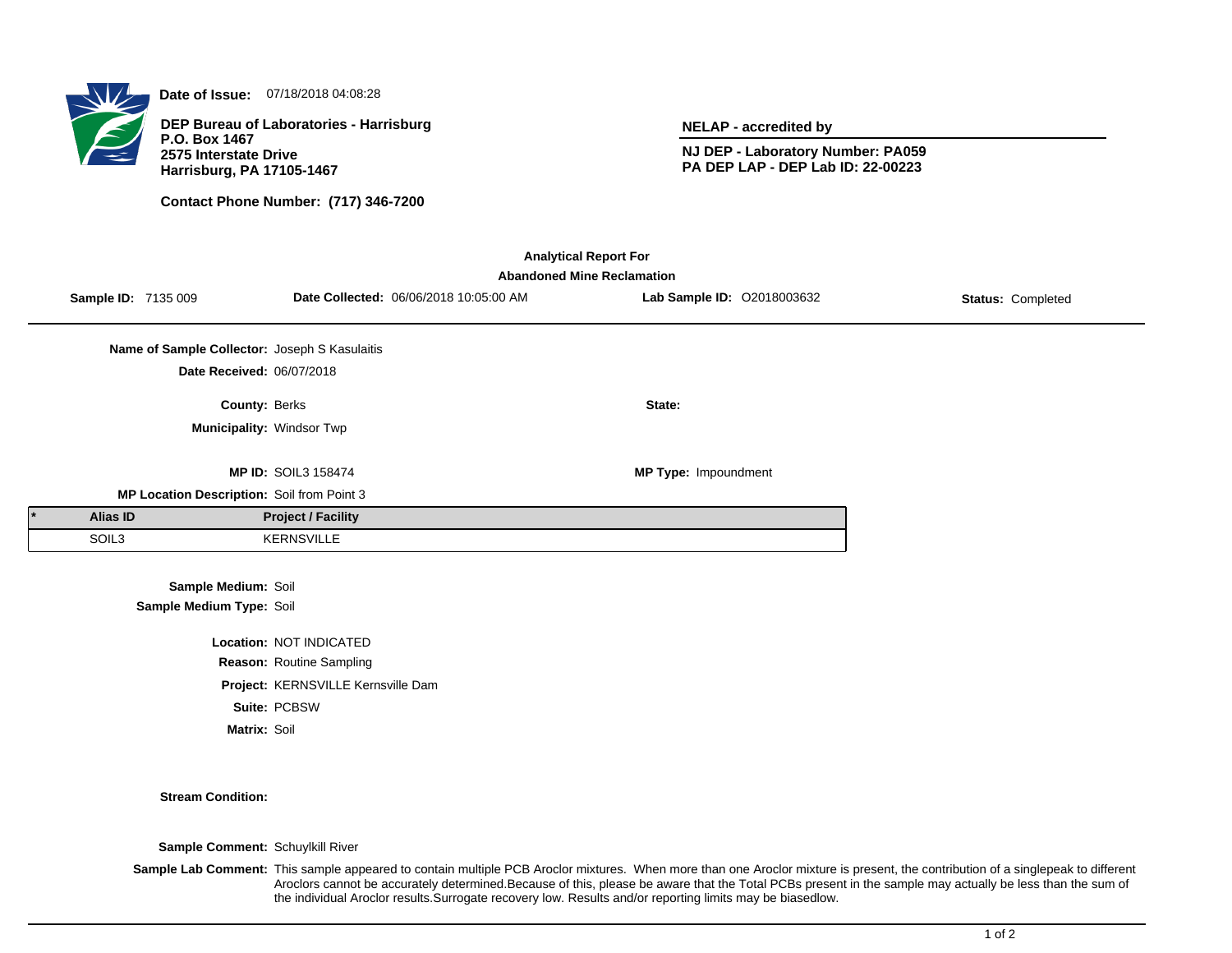**Date of Issue:** 07/18/2018 04:08:28

**DEP Bureau of Laboratories - Harrisburg P.O. Box 1467 2575 Interstate Drive Harrisburg, PA 17105-1467**

**Contact Phone Number: (717) 346-7200**

**NELAP - accredited by**

**NJ DEP - Laboratory Number: PA059 PA DEP LAP - DEP Lab ID: 22-00223**

| <b>Analytical Report For</b><br><b>Abandoned Mine Reclamation</b> |  |                                               |                            |                                        |                            |                   |  |  |  |
|-------------------------------------------------------------------|--|-----------------------------------------------|----------------------------|----------------------------------------|----------------------------|-------------------|--|--|--|
|                                                                   |  | <b>Sample ID: 7135 009</b>                    |                            | Date Collected: 06/06/2018 10:05:00 AM | Lab Sample ID: 02018003632 | Status: Completed |  |  |  |
|                                                                   |  | Name of Sample Collector: Joseph S Kasulaitis |                            |                                        |                            |                   |  |  |  |
|                                                                   |  | Date Received: 06/07/2018                     |                            |                                        |                            |                   |  |  |  |
|                                                                   |  | <b>County: Berks</b>                          |                            |                                        | State:                     |                   |  |  |  |
|                                                                   |  | Municipality: Windsor Twp                     |                            |                                        |                            |                   |  |  |  |
|                                                                   |  |                                               | <b>MP ID: SOIL3 158474</b> |                                        | MP Type: Impoundment       |                   |  |  |  |
|                                                                   |  | MP Location Description: Soil from Point 3    |                            |                                        |                            |                   |  |  |  |
| Alias ID                                                          |  |                                               | <b>Project / Facility</b>  |                                        |                            |                   |  |  |  |
| SOIL3                                                             |  |                                               | <b>KERNSVILLE</b>          |                                        |                            |                   |  |  |  |
| Sample Medium: Soil<br>Sample Medium Type: Soil                   |  |                                               |                            |                                        |                            |                   |  |  |  |
| Location: NOT INDICATED                                           |  |                                               |                            |                                        |                            |                   |  |  |  |
| Reason: Routine Sampling                                          |  |                                               |                            |                                        |                            |                   |  |  |  |

**Project:** KERNSVILLE Kernsville Dam

**Suite:** PCBSW

**Matrix:** Soil

**Stream Condition:**

**Sample Comment:** Schuylkill River

Sample Lab Comment: This sample appeared to contain multiple PCB Aroclor mixtures. When more than one Aroclor mixture is present, the contribution of a singlepeak to different Aroclors cannot be accurately determined.Because of this, please be aware that the Total PCBs present in the sample may actually be less than the sum of the individual Aroclor results.Surrogate recovery low. Results and/or reporting limits may be biasedlow.